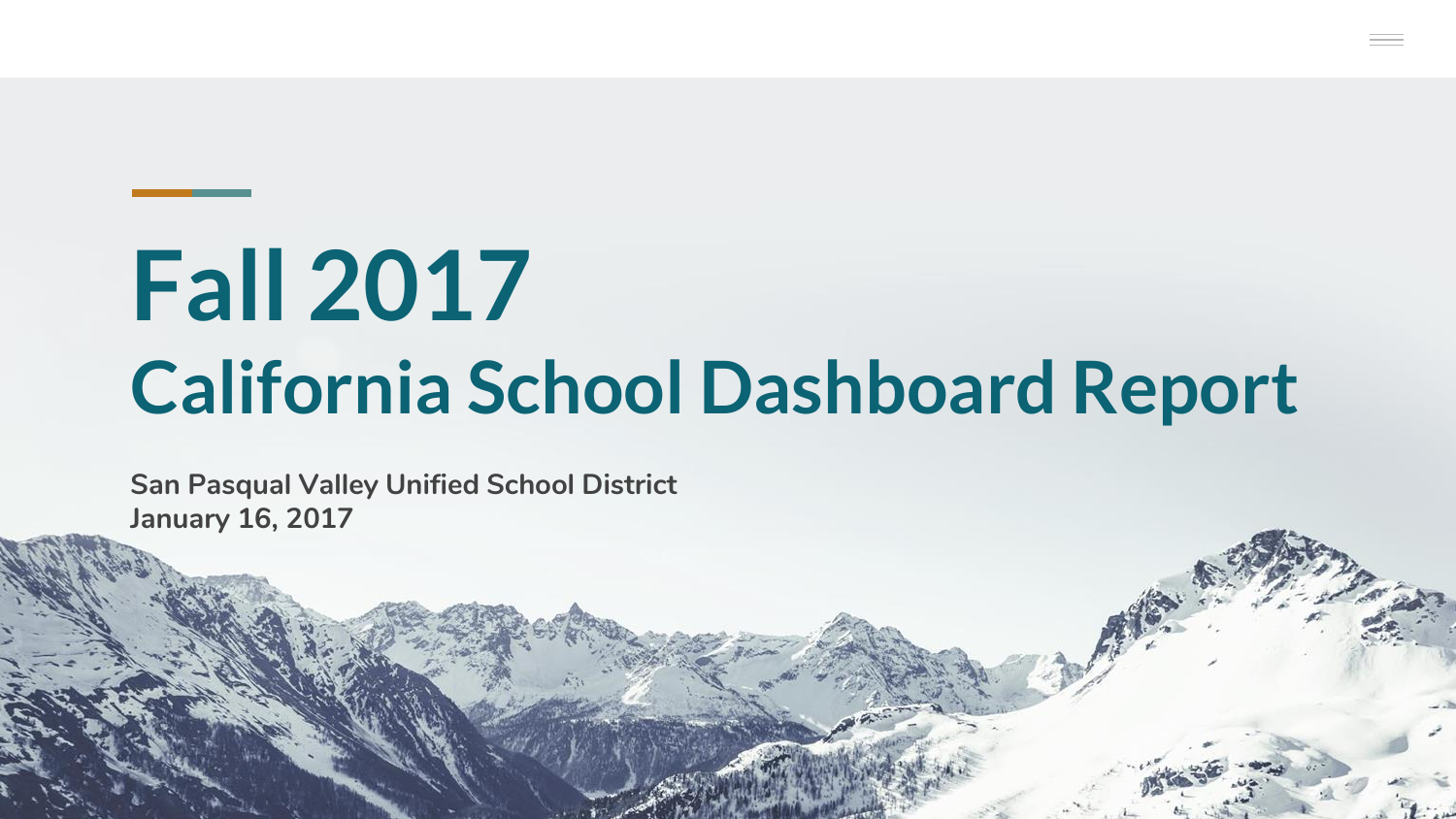# **Fall 2017 California School Dashboard Report**

**San Pasqual Valley Unified School District January 16, 2017**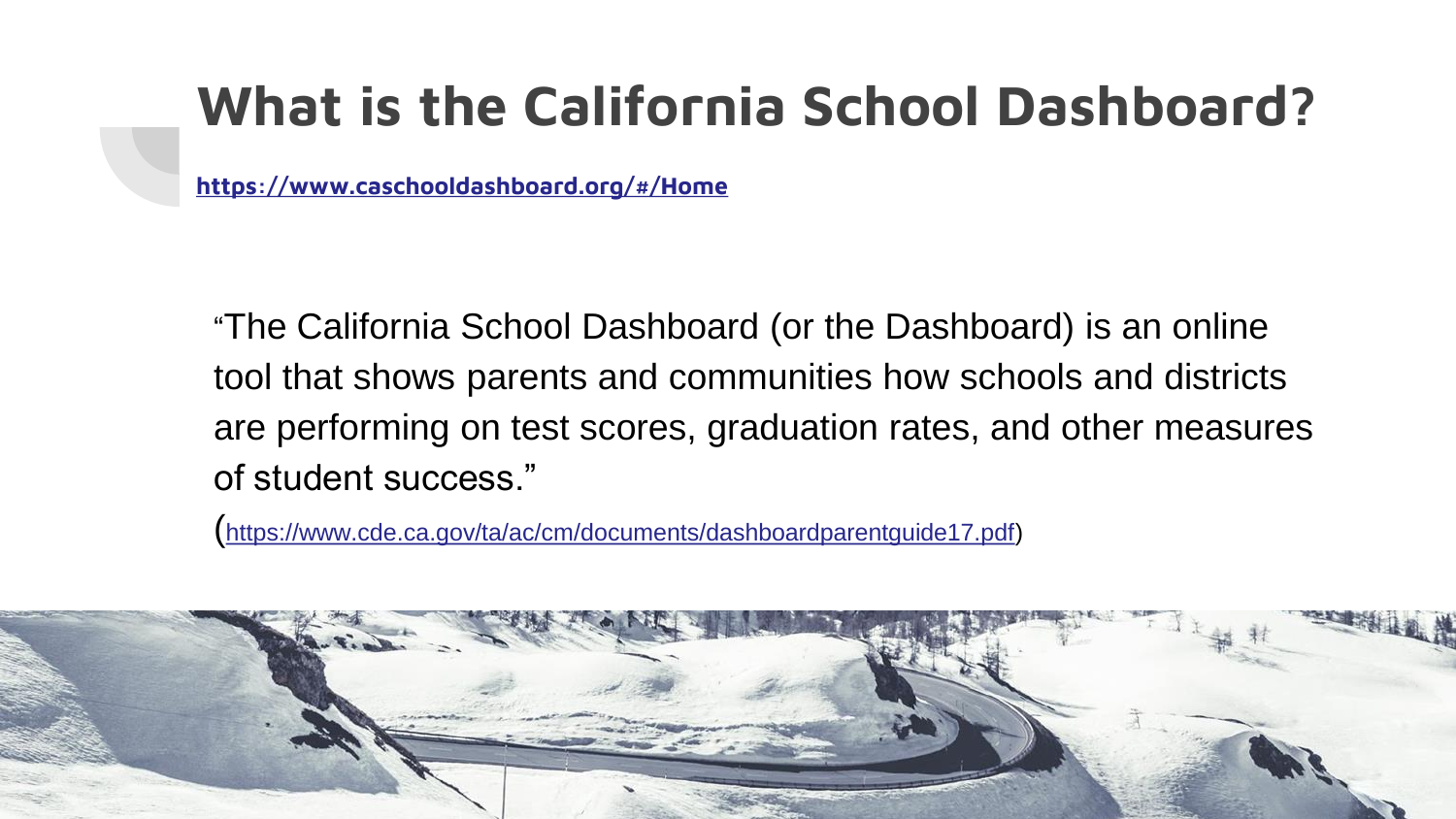# **What is the California School Dashboard?**

**[https://www.caschooldashboard.org/#/Home](https://www.caschooldashboard.org/)**

"The California School Dashboard (or the Dashboard) is an online tool that shows parents and communities how schools and districts are performing on test scores, graduation rates, and other measures of student success."

(<https://www.cde.ca.gov/ta/ac/cm/documents/dashboardparentguide17.pdf>)

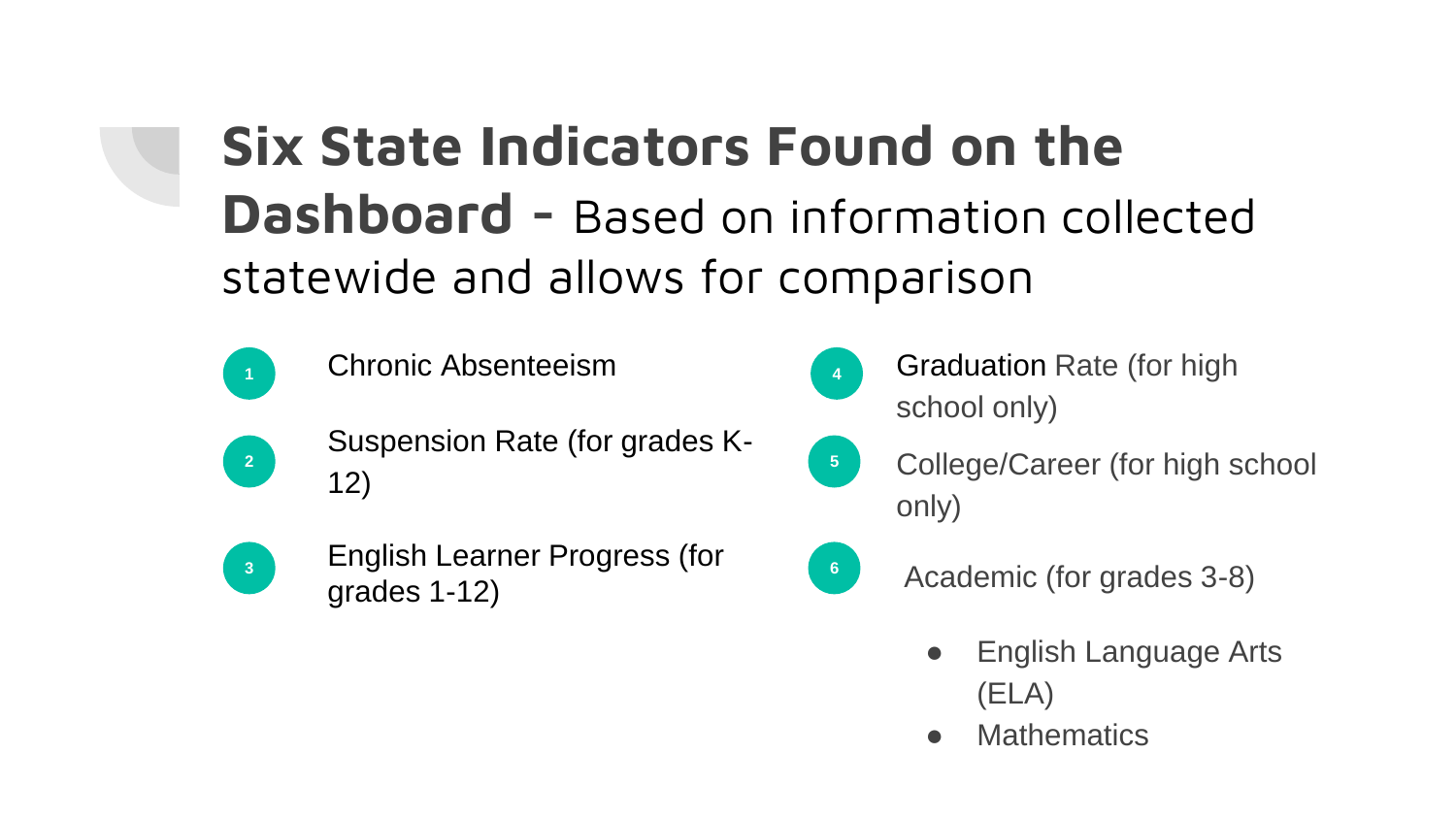# **Six State Indicators Found on the Dashboard -** Based on information collected statewide and allows for comparison



- **<sup>1</sup>** Chronic Absenteeism
- 
- Suspension Rate (for grades K-12)



English Learner Progress (for grades 1-12) **1 6 6** Academic (for grades 3-8)

- 
- **<sup>4</sup>** Graduation Rate (for high school only)
- **<sup>5</sup>** College/Career (for high school only)
	- - English Language Arts (ELA)
		- **Mathematics**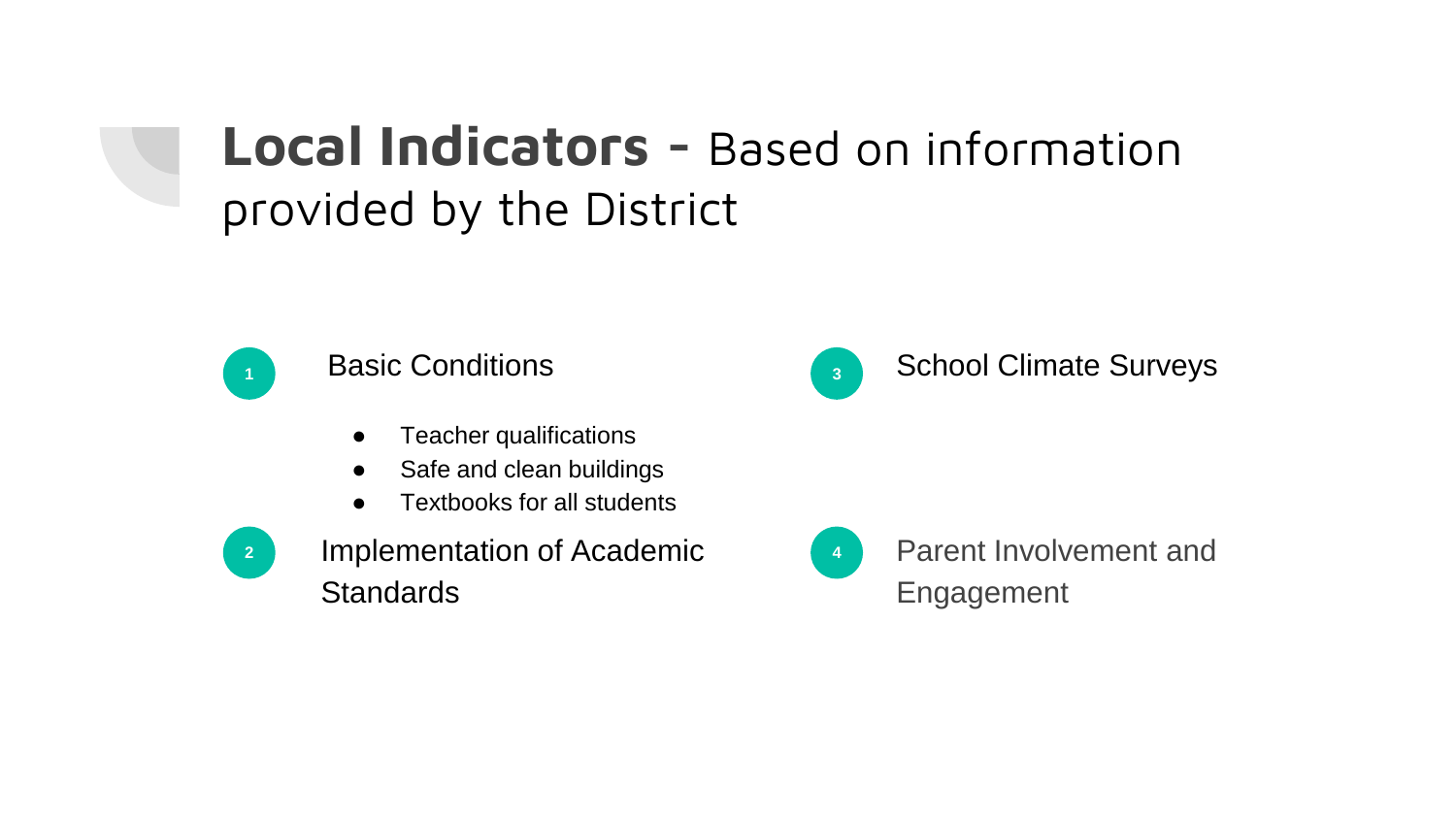### **Local Indicators -** Based on information provided by the District



#### **1** Basic Conditions

- Teacher qualifications
- Safe and clean buildings
- Textbooks for all students



Implementation of Academic **Standards** 



#### **<sup>3</sup>** School Climate Surveys



**<sup>4</sup>** Parent Involvement and Engagement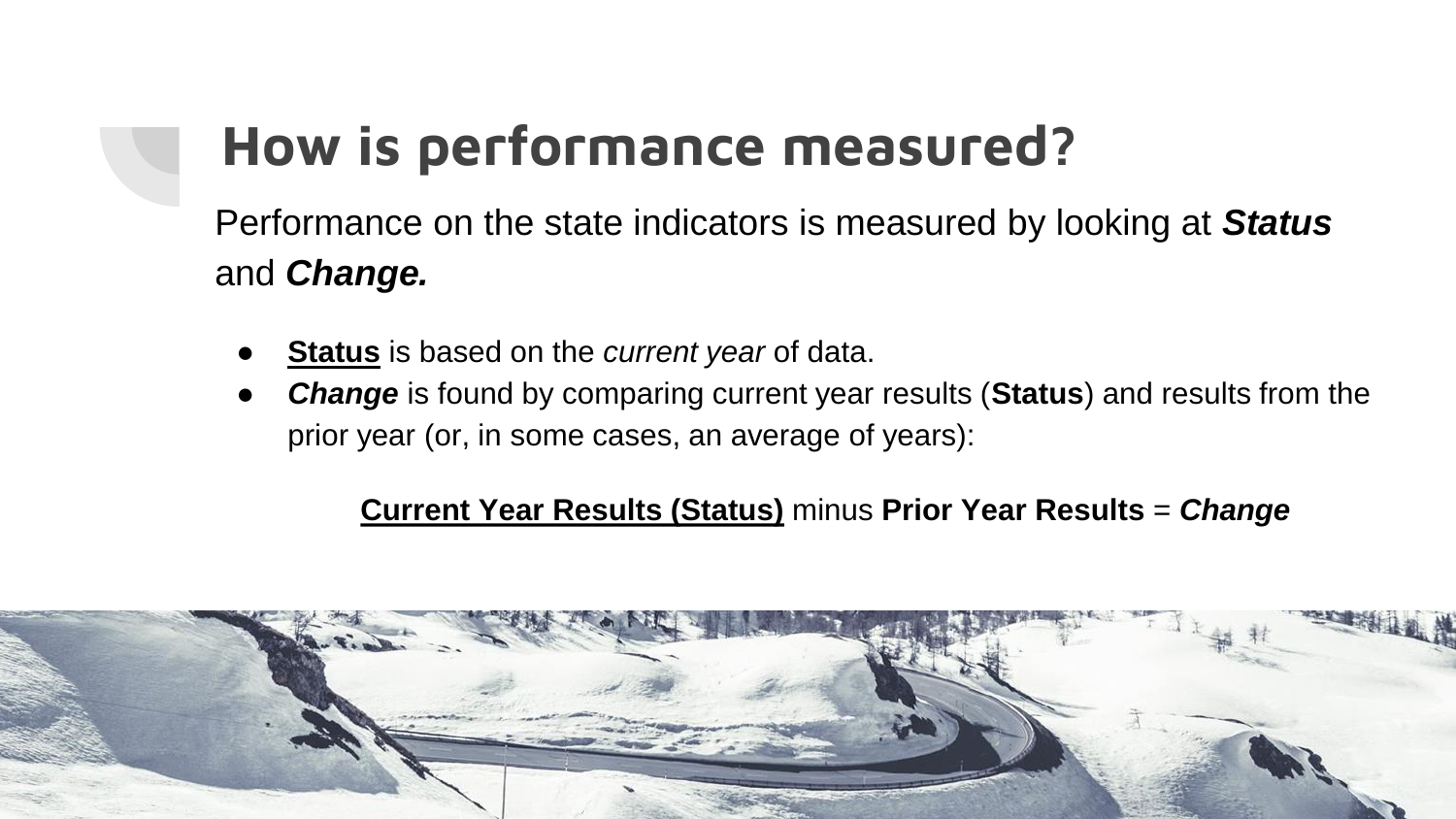# **How is performance measured?**

Performance on the state indicators is measured by looking at *Status*  and *Change.*

- **Status** is based on the *current year* of data.
- *Change* is found by comparing current year results (Status) and results from the prior year (or, in some cases, an average of years):

#### **Current Year Results (Status)** minus **Prior Year Results** = *Change*

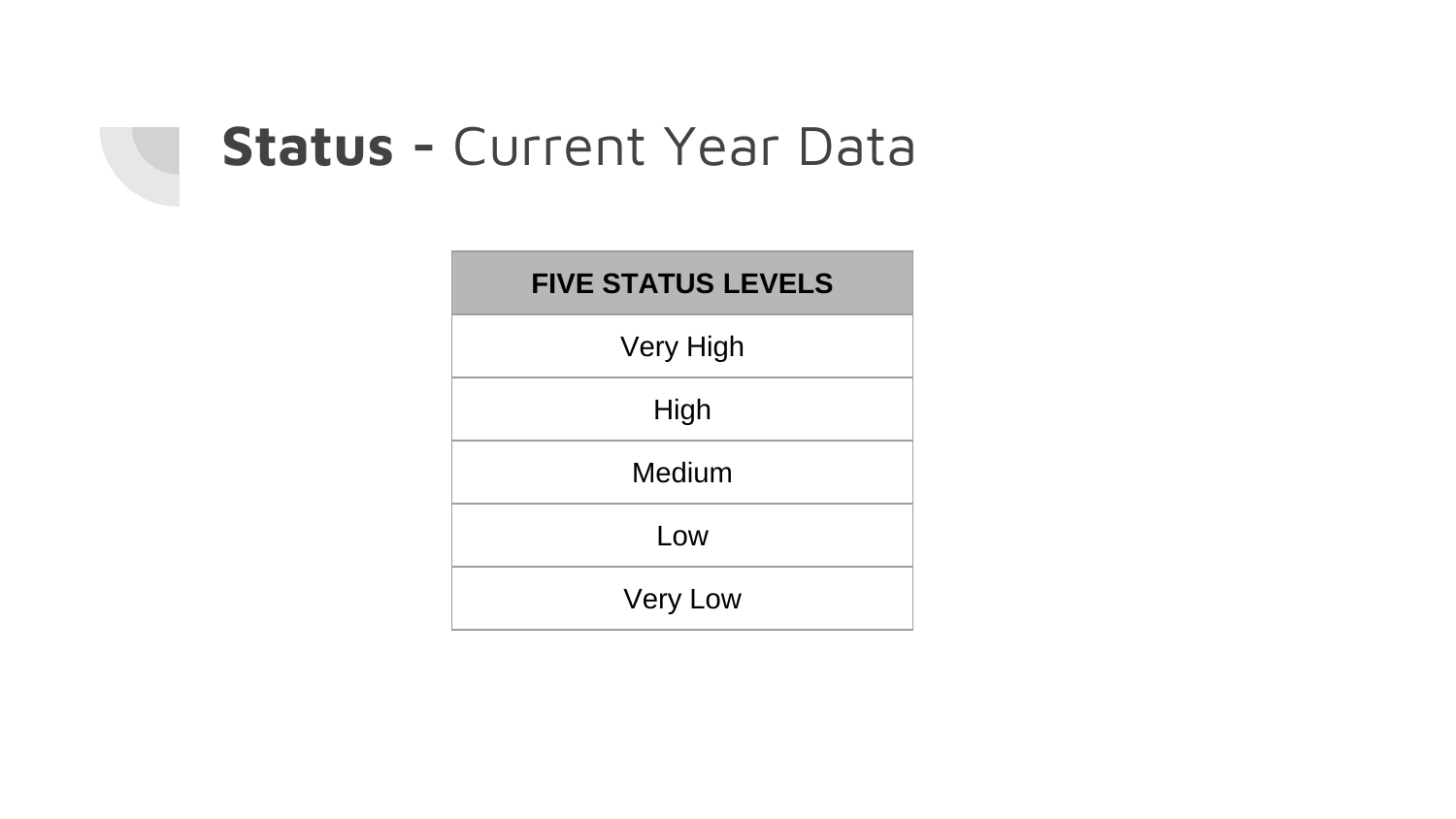

| <b>FIVE STATUS LEVELS</b> |
|---------------------------|
| Very High                 |
| High                      |
| Medium                    |
| Low                       |
| <b>Very Low</b>           |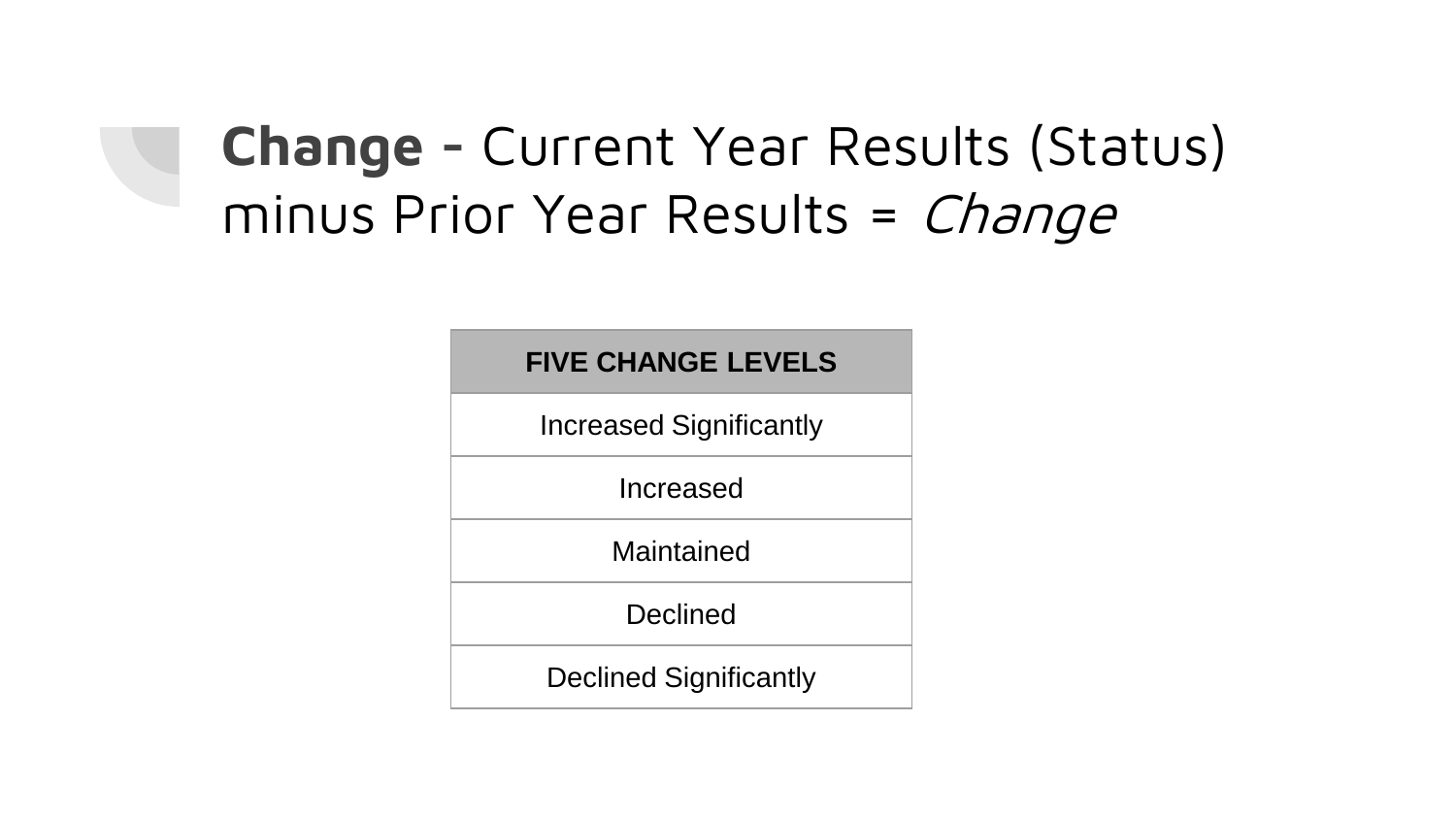# **Change -** Current Year Results (Status) minus Prior Year Results = Change

#### **FIVE CHANGE LEVELS**

Increased Significantly

Increased

Maintained

**Declined** 

Declined Significantly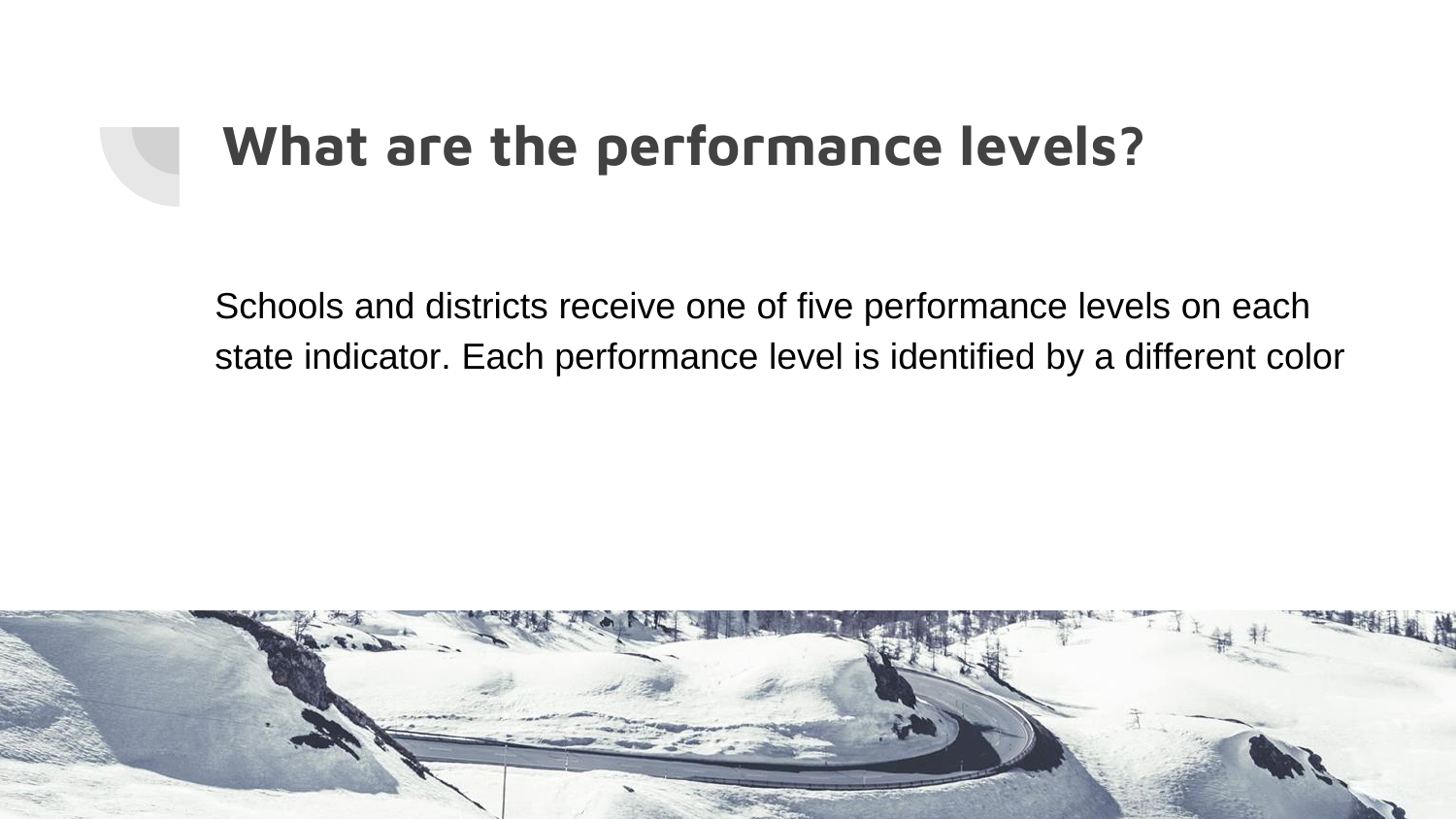# **What are the performance levels?**

Schools and districts receive one of five performance levels on each state indicator. Each performance level is identified by a different color

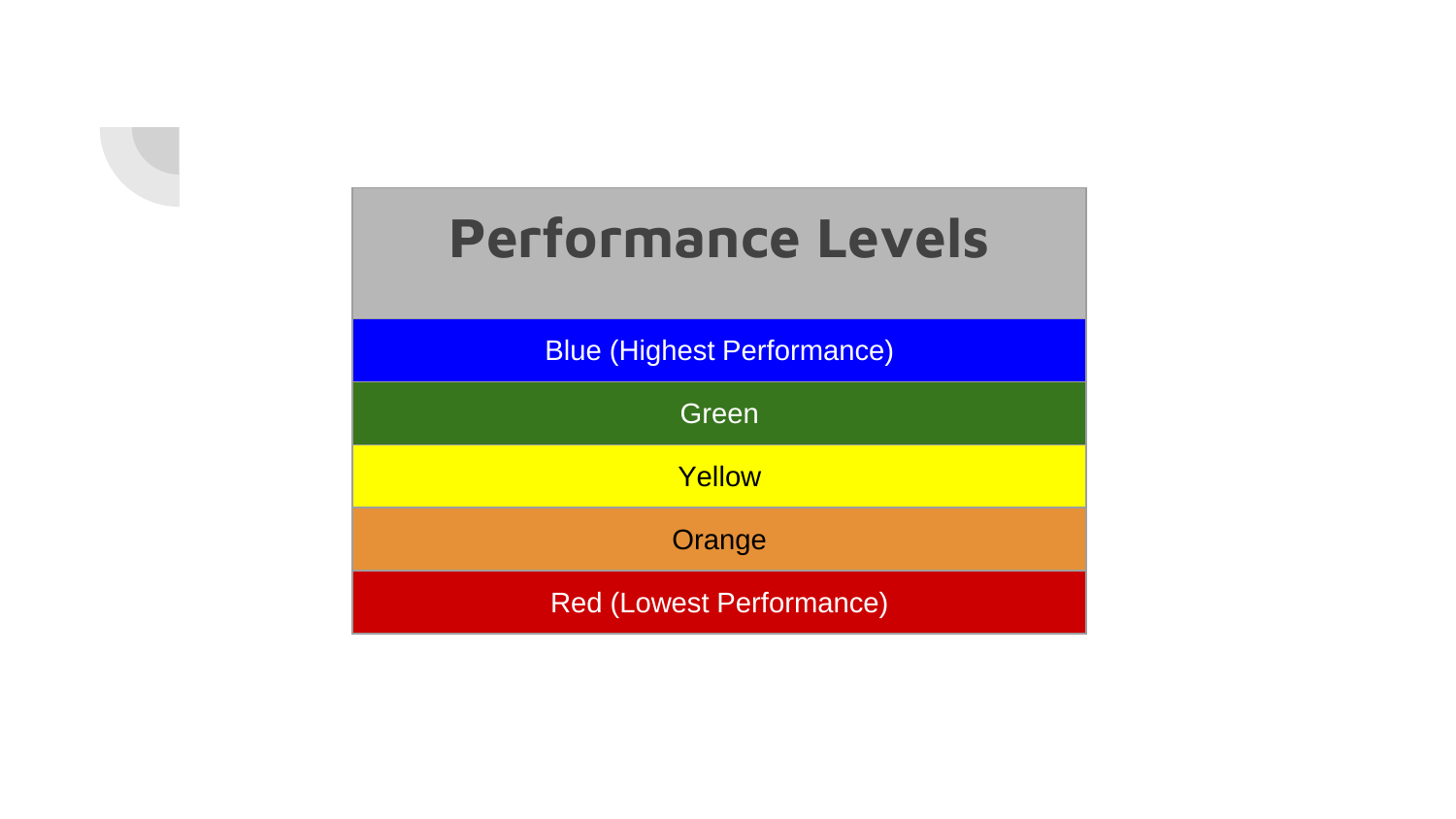

Blue (Highest Performance)

**Green** 

**Yellow** 

**Orange** 

Red (Lowest Performance)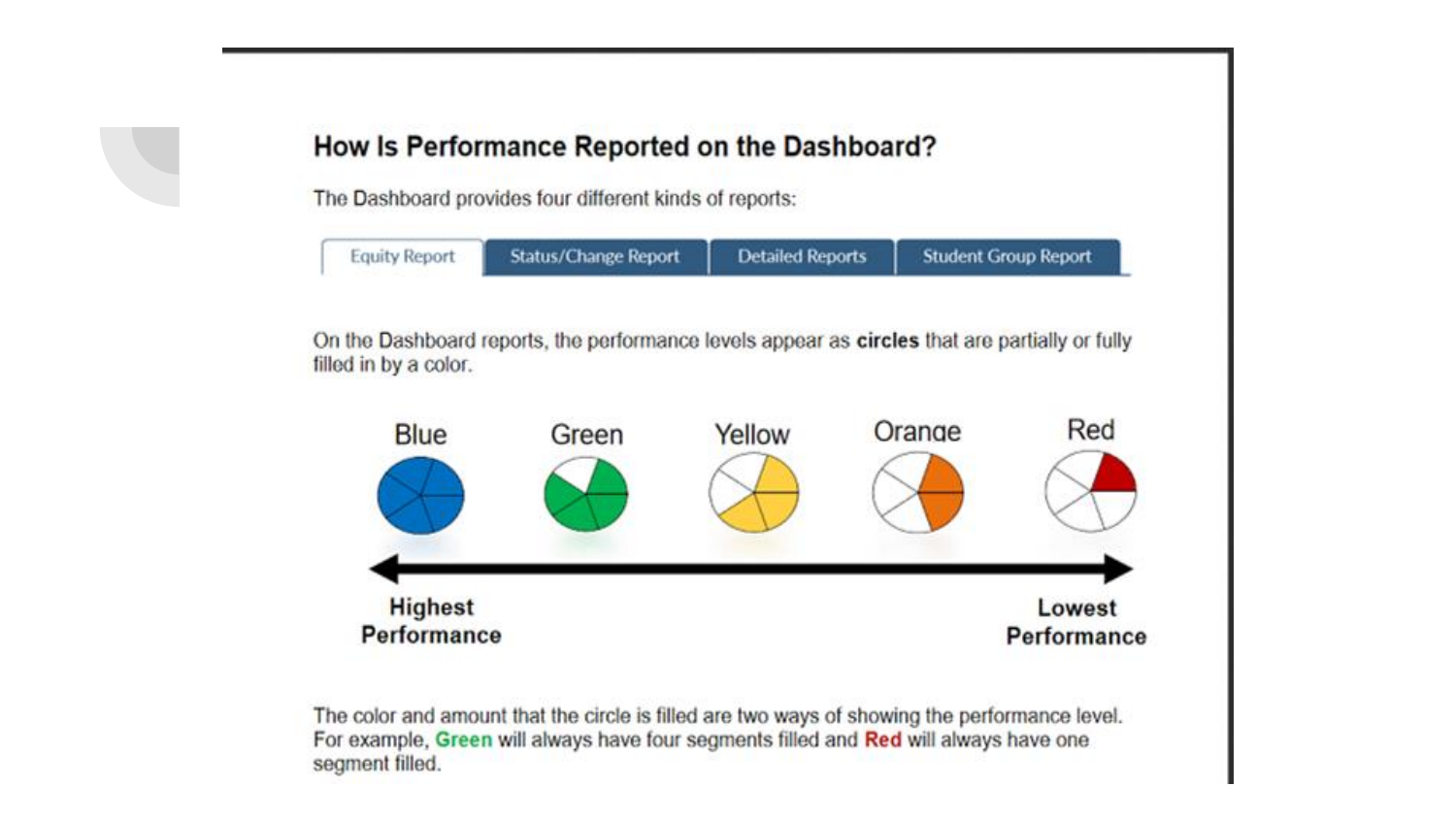#### How Is Performance Reported on the Dashboard?

The Dashboard provides four different kinds of reports:

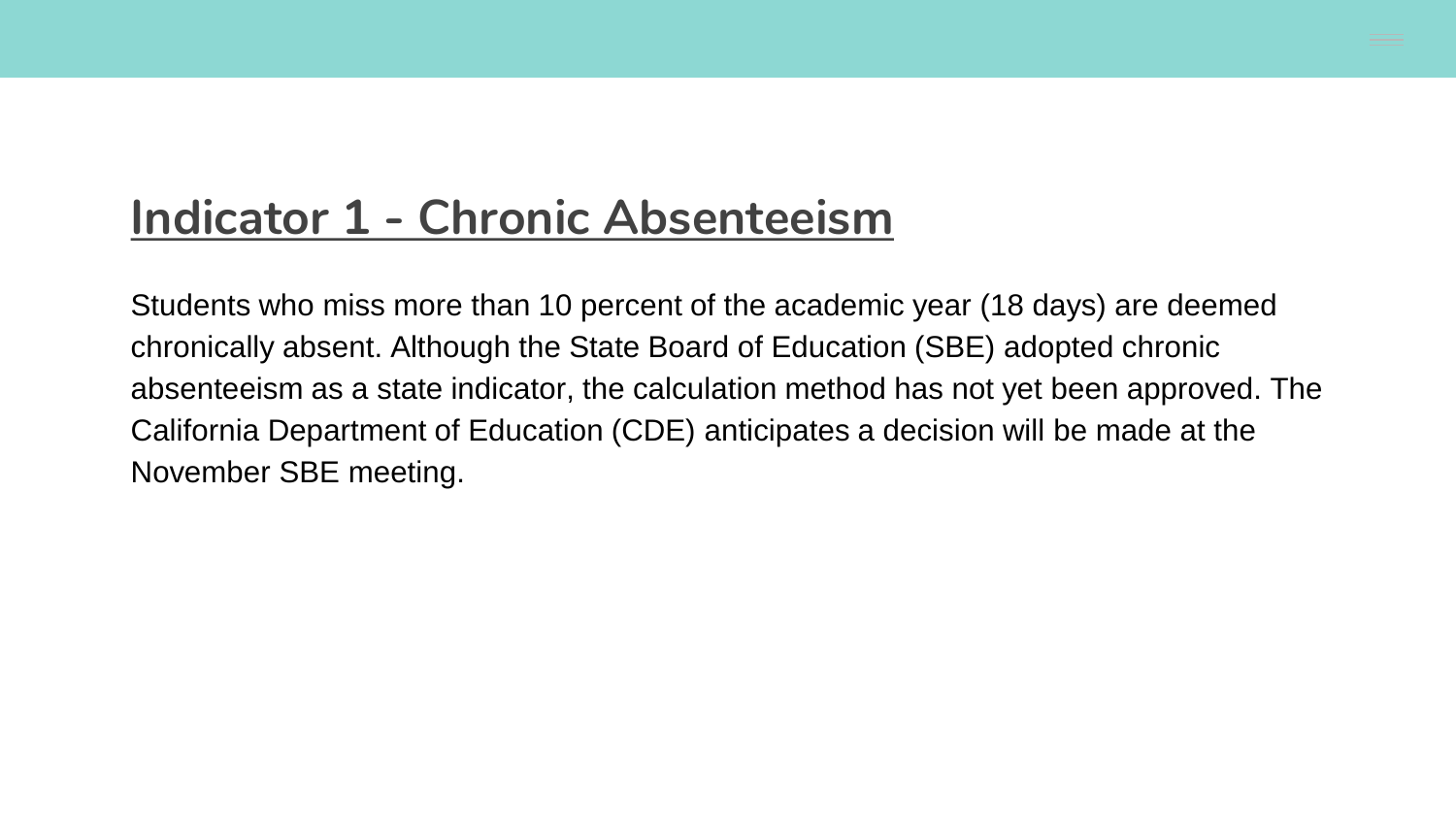#### **Indicator 1 - Chronic Absenteeism**

Students who miss more than 10 percent of the academic year (18 days) are deemed chronically absent. Although the State Board of Education (SBE) adopted chronic absenteeism as a state indicator, the calculation method has not yet been approved. The California Department of Education (CDE) anticipates a decision will be made at the November SBE meeting.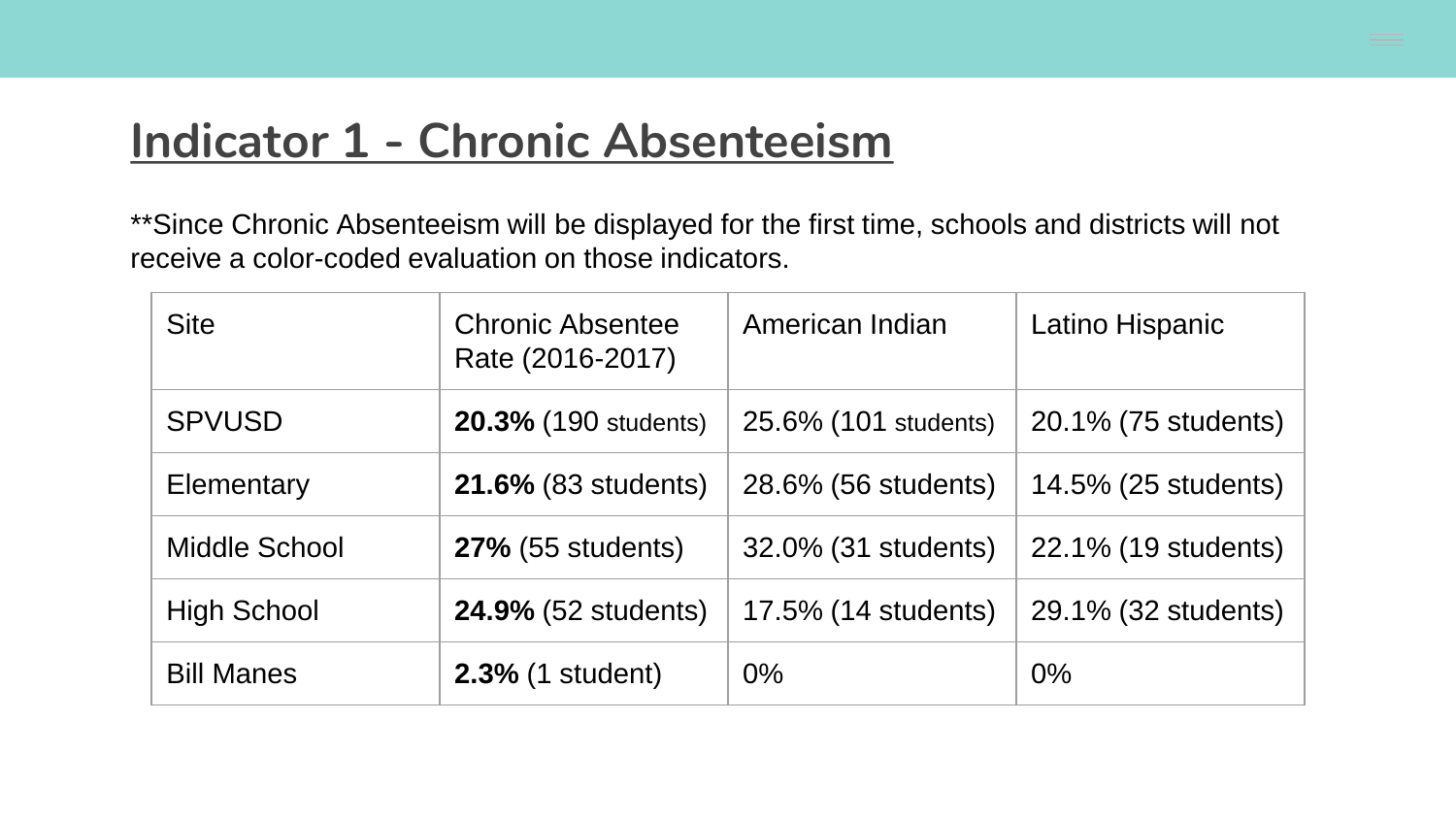#### **Indicator 1 - Chronic Absenteeism**

\*\*Since Chronic Absenteeism will be displayed for the first time, schools and districts will not receive a color-coded evaluation on those indicators.

| <b>Site</b>        | <b>Chronic Absentee</b><br>Rate (2016-2017) | American Indian      | Latino Hispanic     |
|--------------------|---------------------------------------------|----------------------|---------------------|
| <b>SPVUSD</b>      | <b>20.3% (190 students)</b>                 | 25.6% (101 students) | 20.1% (75 students) |
| Elementary         | <b>21.6% (83 students)</b>                  | 28.6% (56 students)  | 14.5% (25 students) |
| Middle School      | <b>27%</b> (55 students)                    | 32.0% (31 students)  | 22.1% (19 students) |
| <b>High School</b> | <b>24.9% (52 students)</b>                  | 17.5% (14 students)  | 29.1% (32 students) |
| <b>Bill Manes</b>  | <b>2.3% (1 student)</b>                     | $0\%$                | $0\%$               |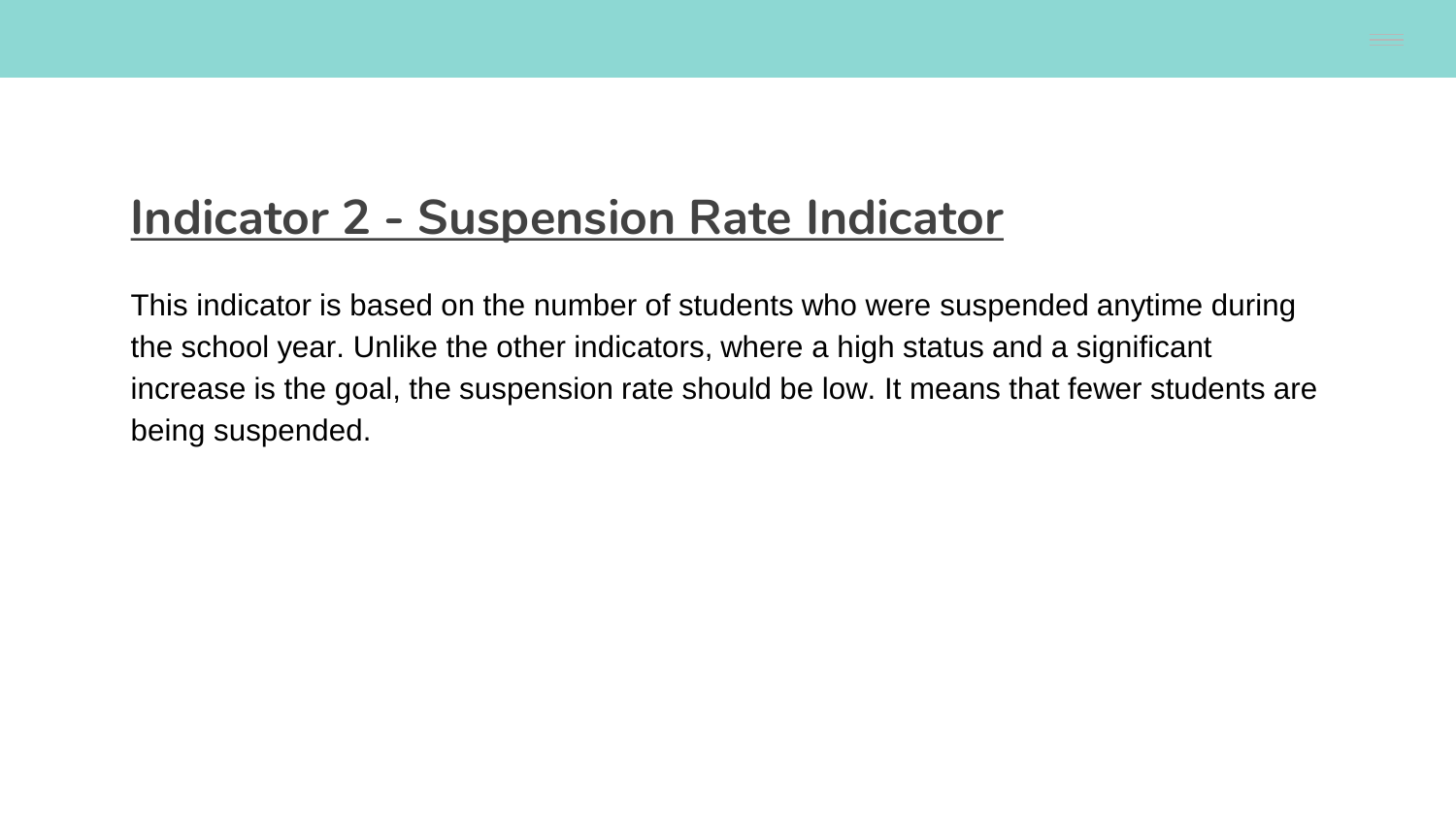#### **Indicator 2 - Suspension Rate Indicator**

This indicator is based on the number of students who were suspended anytime during the school year. Unlike the other indicators, where a high status and a significant increase is the goal, the suspension rate should be low. It means that fewer students are being suspended.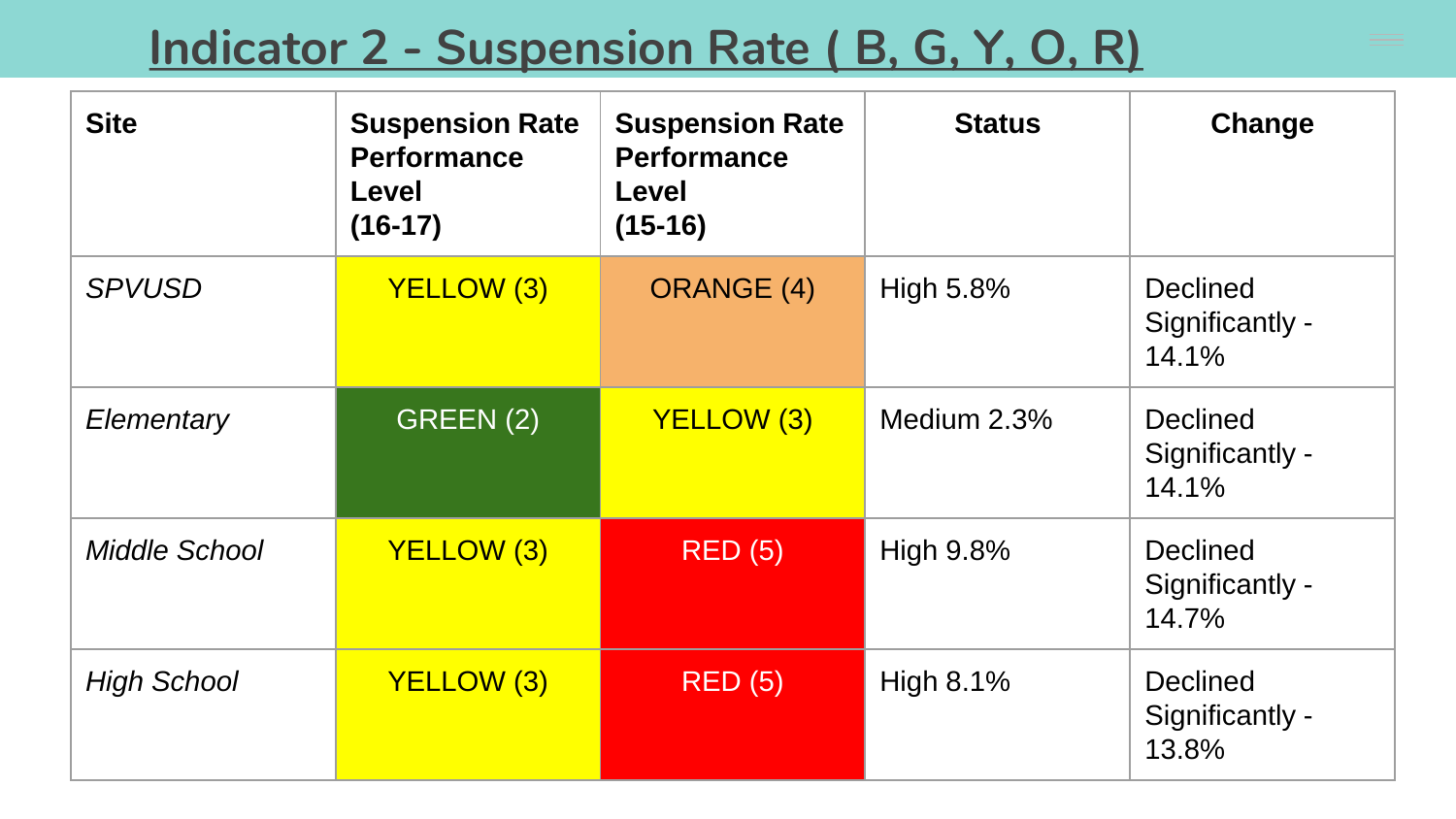### **Indicator 2 - Suspension Rate ( B, G, Y, O, R)**

| <b>Site</b>          | <b>Suspension Rate</b><br><b>Performance</b><br><b>Level</b><br>$(16-17)$ | <b>Suspension Rate</b><br><b>Performance</b><br>Level<br>$(15-16)$ | <b>Status</b>    | Change                                      |
|----------------------|---------------------------------------------------------------------------|--------------------------------------------------------------------|------------------|---------------------------------------------|
| <b>SPVUSD</b>        | <b>YELLOW (3)</b>                                                         | <b>ORANGE (4)</b>                                                  | High 5.8%        | <b>Declined</b><br>Significantly -<br>14.1% |
| Elementary           | GREEN(2)                                                                  | YELLOW (3)                                                         | Medium 2.3%      | <b>Declined</b><br>Significantly -<br>14.1% |
| <b>Middle School</b> | <b>YELLOW (3)</b>                                                         | <b>RED (5)</b>                                                     | <b>High 9.8%</b> | <b>Declined</b><br>Significantly -<br>14.7% |
| <b>High School</b>   | <b>YELLOW (3)</b>                                                         | <b>RED (5)</b>                                                     | High 8.1%        | <b>Declined</b><br>Significantly -<br>13.8% |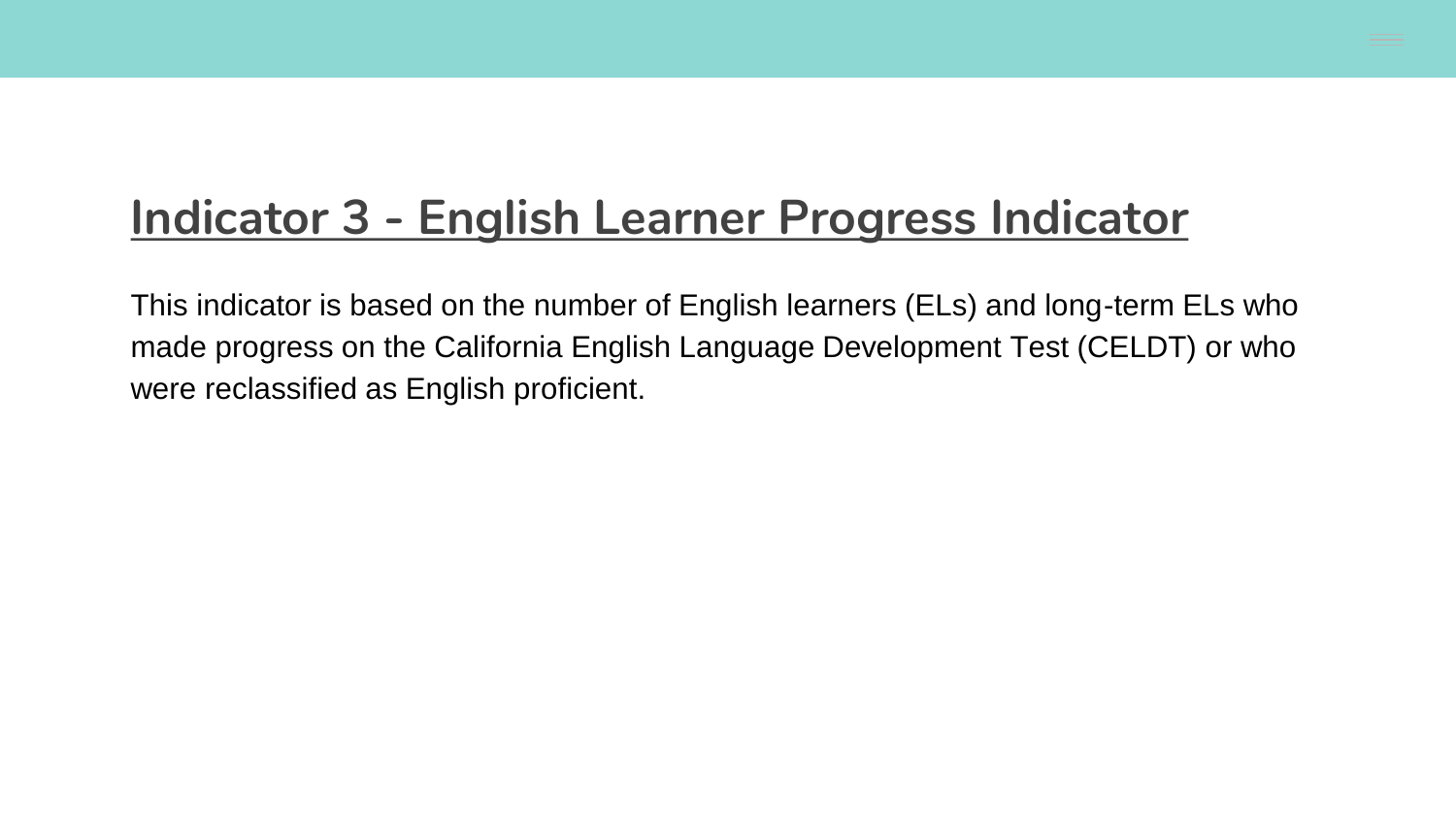#### **Indicator 3 - English Learner Progress Indicator**

This indicator is based on the number of English learners (ELs) and long-term ELs who made progress on the California English Language Development Test (CELDT) or who were reclassified as English proficient.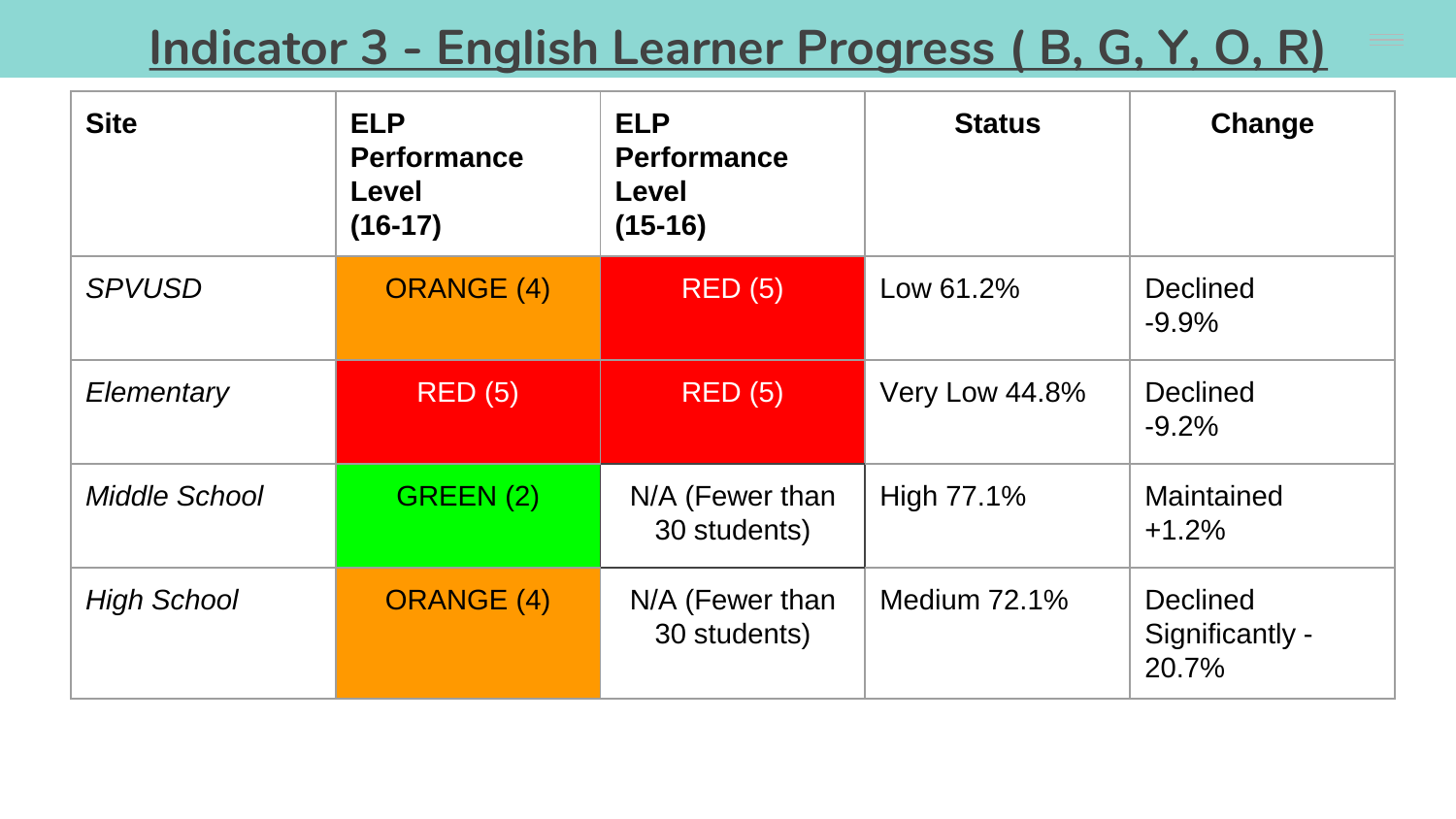#### **Indicator 3 - English Learner Progress ( B, G, Y, O, R)**

| <b>Site</b>          | <b>ELP</b><br><b>Performance</b><br>Level<br>$(16-17)$ | <b>ELP</b><br><b>Performance</b><br>Level<br>$(15-16)$ | <b>Status</b>  | Change                                      |
|----------------------|--------------------------------------------------------|--------------------------------------------------------|----------------|---------------------------------------------|
| <b>SPVUSD</b>        | <b>ORANGE (4)</b>                                      | <b>RED (5)</b>                                         | Low 61.2%      | <b>Declined</b><br>$-9.9%$                  |
| Elementary           | <b>RED (5)</b>                                         | <b>RED (5)</b>                                         | Very Low 44.8% | <b>Declined</b><br>$-9.2%$                  |
| <b>Middle School</b> | GREEN (2)                                              | N/A (Fewer than<br>30 students)                        | High 77.1%     | Maintained<br>$+1.2%$                       |
| <b>High School</b>   | <b>ORANGE (4)</b>                                      | N/A (Fewer than<br>30 students)                        | Medium 72.1%   | <b>Declined</b><br>Significantly -<br>20.7% |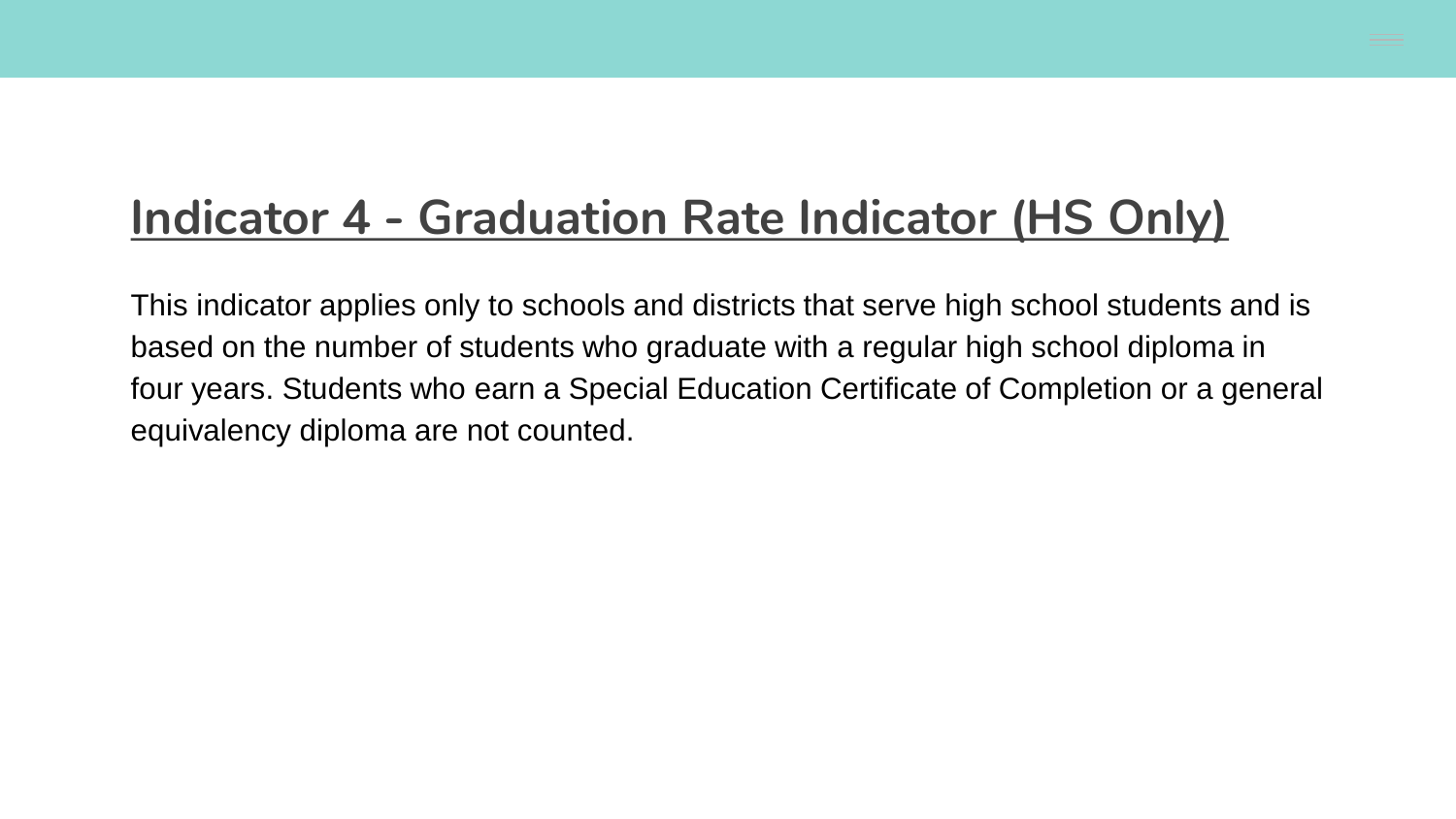#### **Indicator 4 - Graduation Rate Indicator (HS Only)**

This indicator applies only to schools and districts that serve high school students and is based on the number of students who graduate with a regular high school diploma in four years. Students who earn a Special Education Certificate of Completion or a general equivalency diploma are not counted.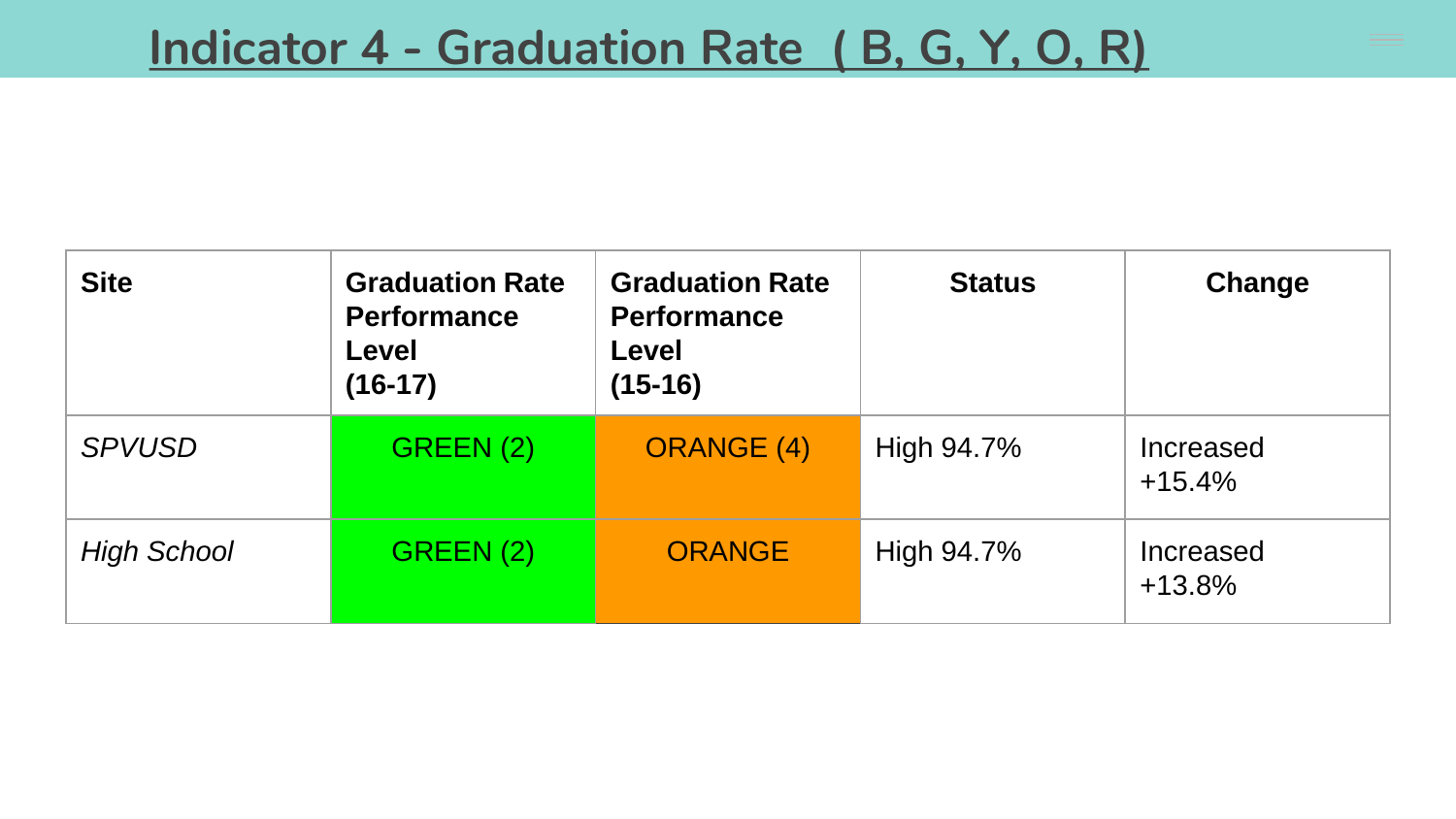| <b>Site</b>        | <b>Graduation Rate</b><br><b>Performance</b><br>Level<br>$(16-17)$ | <b>Graduation Rate</b><br><b>Performance</b><br>Level<br>$(15-16)$ | <b>Status</b> | Change                |
|--------------------|--------------------------------------------------------------------|--------------------------------------------------------------------|---------------|-----------------------|
| <b>SPVUSD</b>      | GREEN(2)                                                           | <b>ORANGE (4)</b>                                                  | High 94.7%    | Increased<br>$+15.4%$ |
| <b>High School</b> | GREEN(2)                                                           | <b>ORANGE</b>                                                      | High 94.7%    | Increased<br>$+13.8%$ |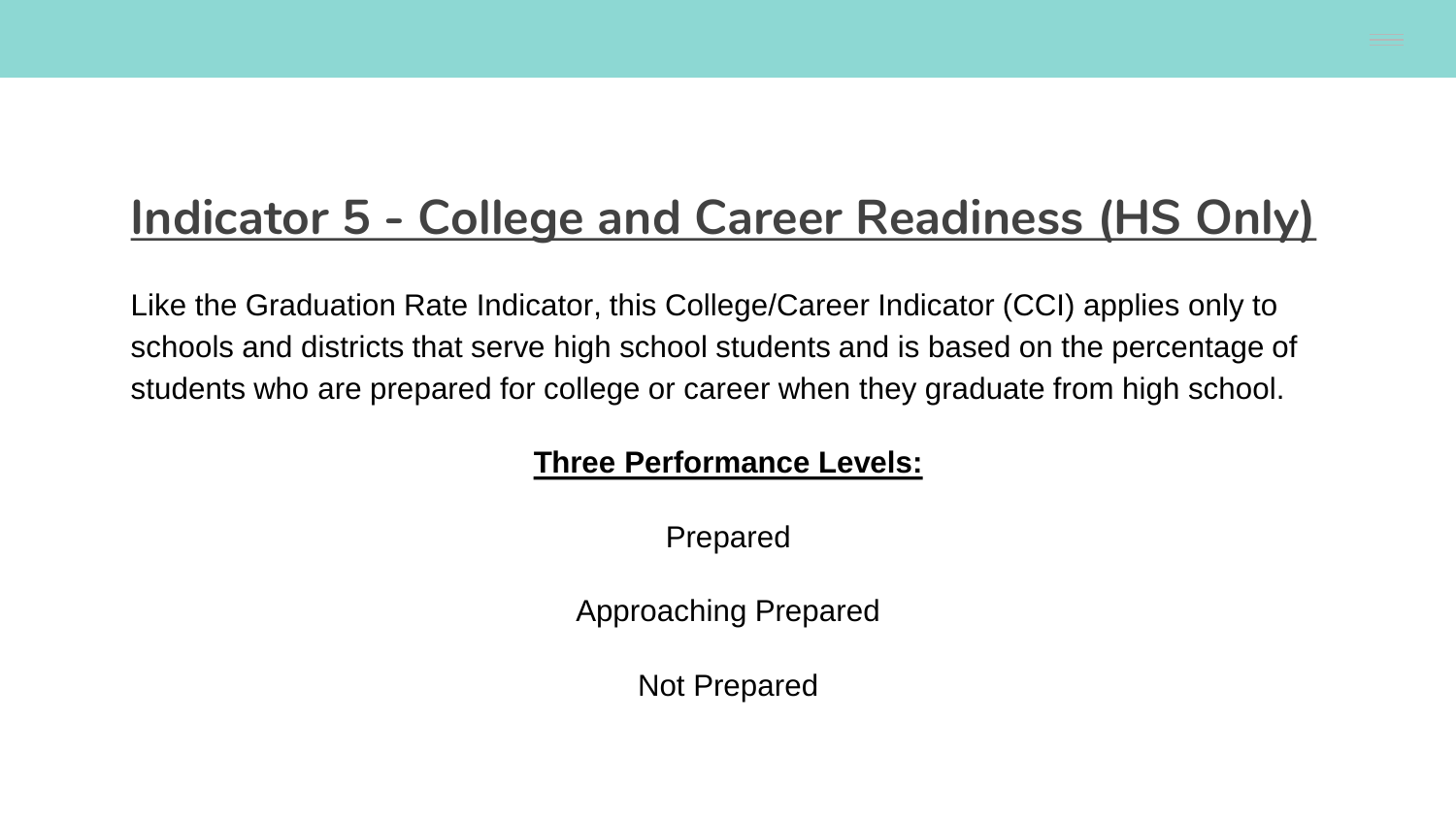### **Indicator 5 - College and Career Readiness (HS Only)**

Like the Graduation Rate Indicator, this College/Career Indicator (CCI) applies only to schools and districts that serve high school students and is based on the percentage of students who are prepared for college or career when they graduate from high school.

#### **Three Performance Levels:**

Prepared

Approaching Prepared

Not Prepared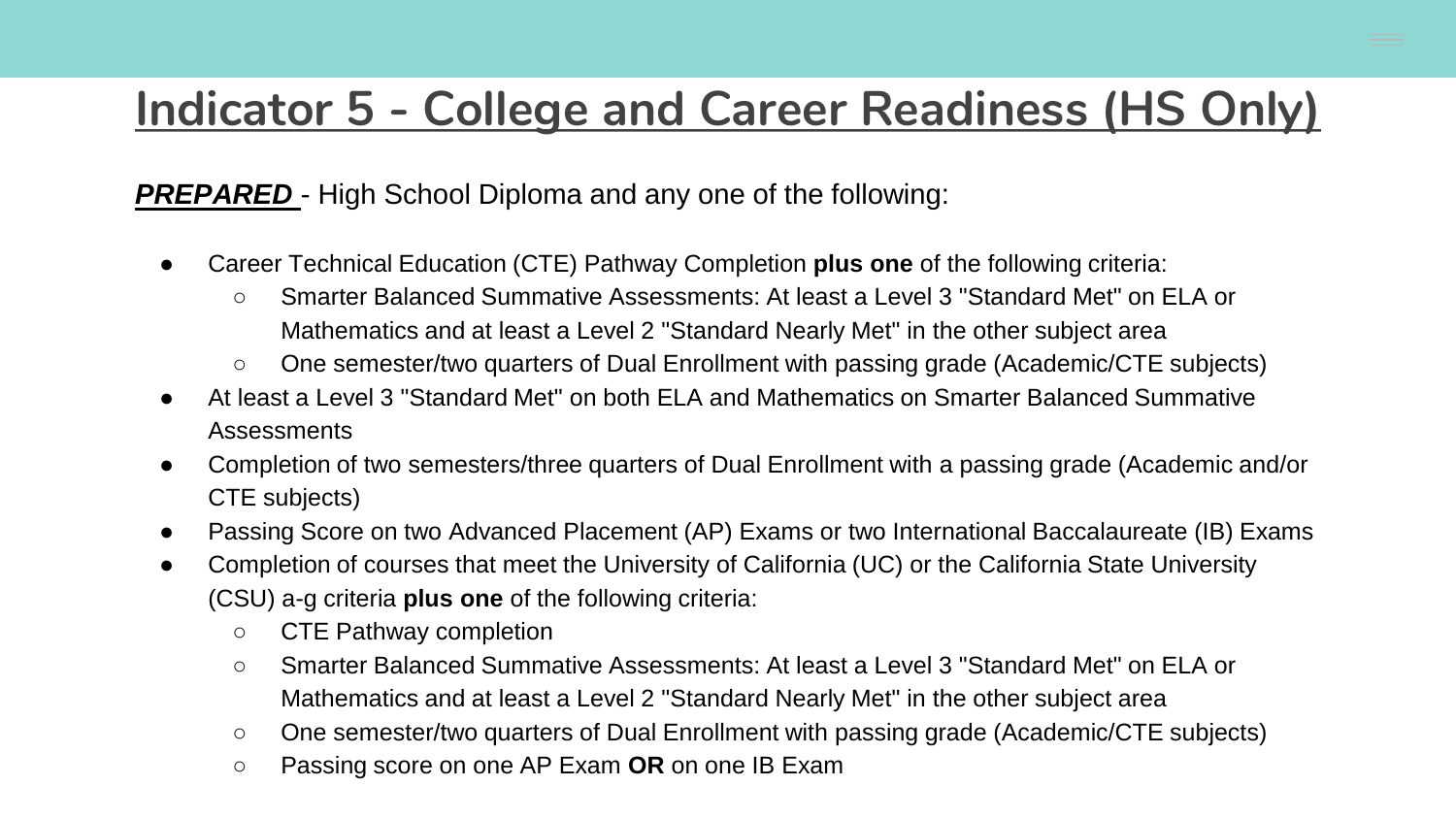#### **Indicator 5 - College and Career Readiness (HS Only)**

**PREPARED** - High School Diploma and any one of the following:

- Career Technical Education (CTE) Pathway Completion **plus one** of the following criteria:
	- Smarter Balanced Summative Assessments: At least a Level 3 "Standard Met" on ELA or Mathematics and at least a Level 2 "Standard Nearly Met" in the other subject area
	- One semester/two quarters of Dual Enrollment with passing grade (Academic/CTE subjects)
- At least a Level 3 "Standard Met" on both ELA and Mathematics on Smarter Balanced Summative Assessments
- Completion of two semesters/three quarters of Dual Enrollment with a passing grade (Academic and/or CTE subjects)
- Passing Score on two Advanced Placement (AP) Exams or two International Baccalaureate (IB) Exams
- Completion of courses that meet the University of California (UC) or the California State University (CSU) a-g criteria **plus one** of the following criteria:
	- CTE Pathway completion
	- Smarter Balanced Summative Assessments: At least a Level 3 "Standard Met" on ELA or Mathematics and at least a Level 2 "Standard Nearly Met" in the other subject area
	- One semester/two quarters of Dual Enrollment with passing grade (Academic/CTE subjects)
	- Passing score on one AP Exam **OR** on one IB Exam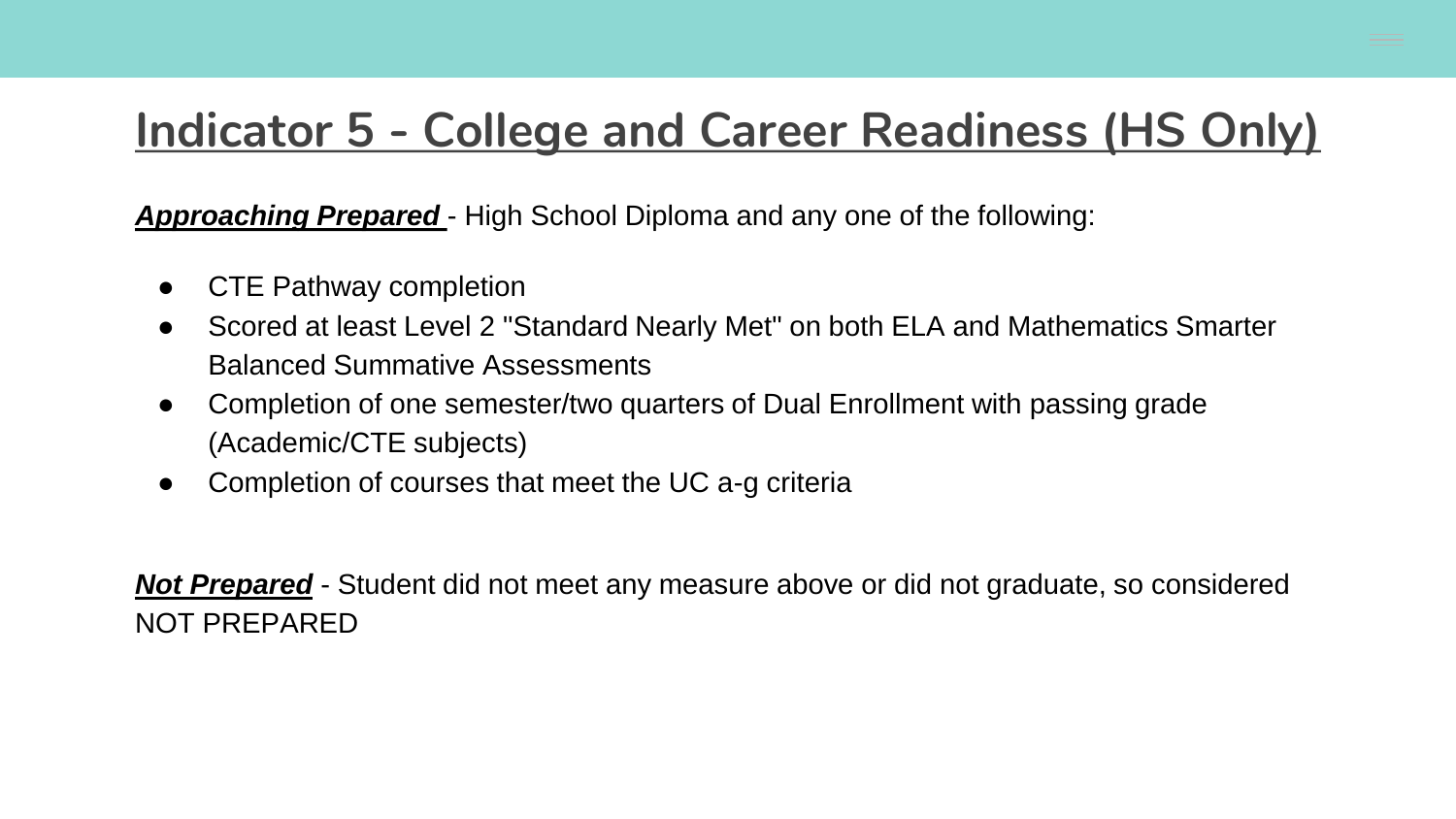#### **Indicator 5 - College and Career Readiness (HS Only)**

*Approaching Prepared* - High School Diploma and any one of the following:

- CTE Pathway completion
- Scored at least Level 2 "Standard Nearly Met" on both ELA and Mathematics Smarter Balanced Summative Assessments
- Completion of one semester/two quarters of Dual Enrollment with passing grade (Academic/CTE subjects)
- Completion of courses that meet the UC a-g criteria

*Not Prepared* - Student did not meet any measure above or did not graduate, so considered NOT PREPARED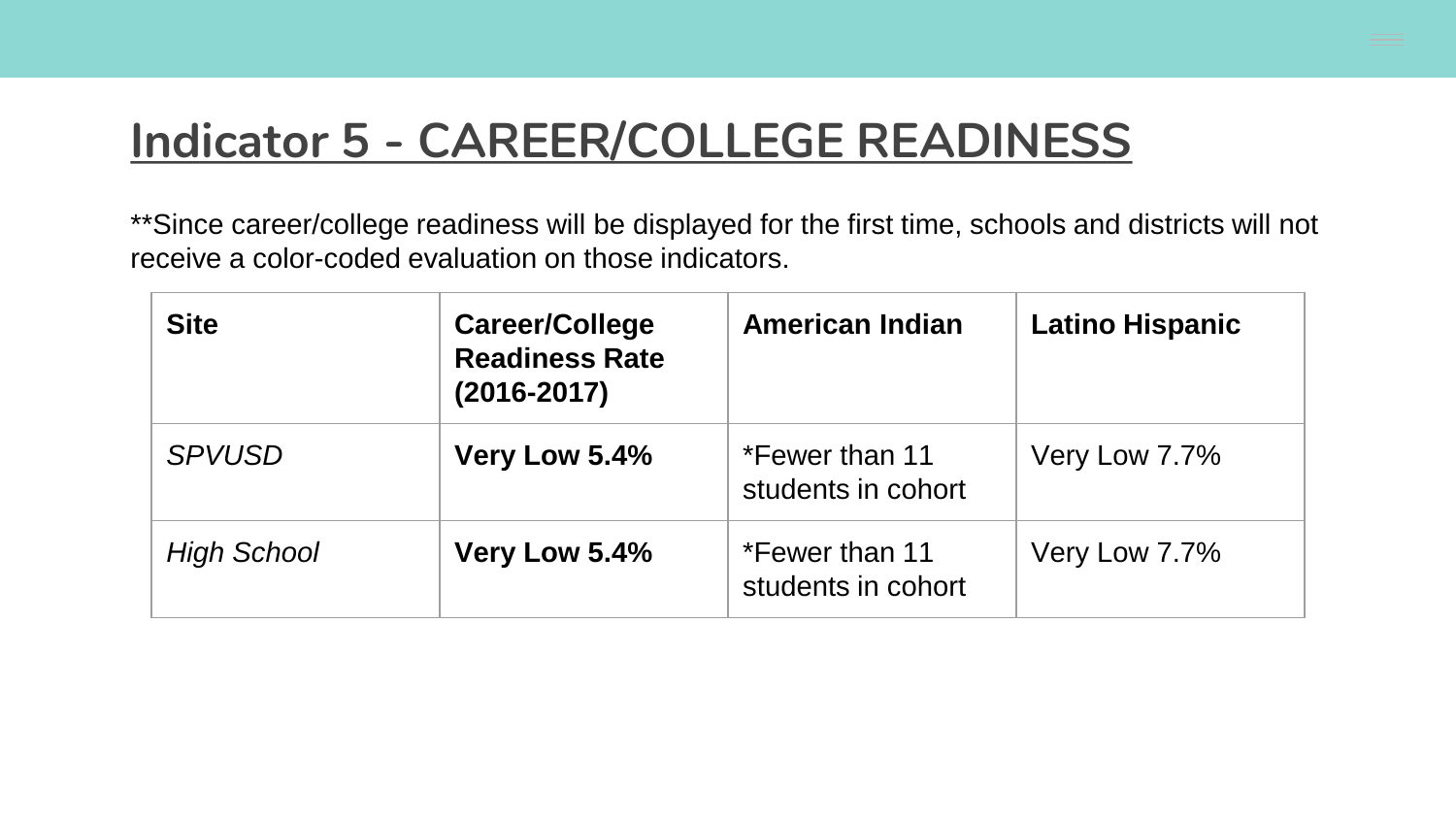#### **Indicator 5 - CAREER/COLLEGE READINESS**

\*\*Since career/college readiness will be displayed for the first time, schools and districts will not receive a color-coded evaluation on those indicators.

| <b>Site</b>        | Career/College<br><b>Readiness Rate</b><br>$(2016 - 2017)$ | <b>American Indian</b>               | <b>Latino Hispanic</b> |
|--------------------|------------------------------------------------------------|--------------------------------------|------------------------|
| <b>SPVUSD</b>      | Very Low 5.4%                                              | *Fewer than 11<br>students in cohort | Very Low 7.7%          |
| <b>High School</b> | Very Low 5.4%                                              | *Fewer than 11<br>students in cohort | Very Low 7.7%          |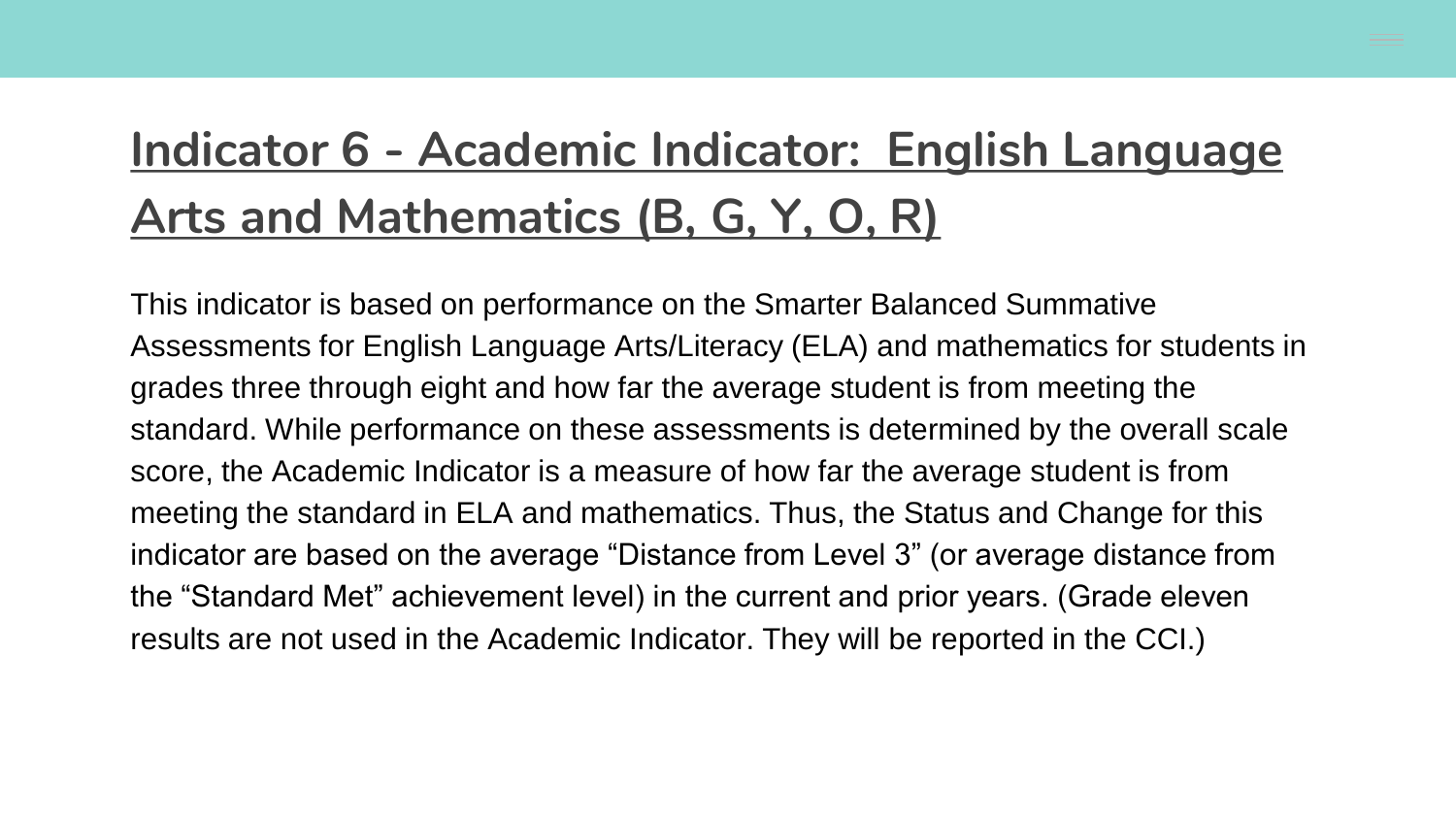### **Indicator 6 - Academic Indicator: English Language Arts and Mathematics (B, G, Y, O, R)**

This indicator is based on performance on the Smarter Balanced Summative Assessments for English Language Arts/Literacy (ELA) and mathematics for students in grades three through eight and how far the average student is from meeting the standard. While performance on these assessments is determined by the overall scale score, the Academic Indicator is a measure of how far the average student is from meeting the standard in ELA and mathematics. Thus, the Status and Change for this indicator are based on the average "Distance from Level 3" (or average distance from the "Standard Met" achievement level) in the current and prior years. (Grade eleven results are not used in the Academic Indicator. They will be reported in the CCI.)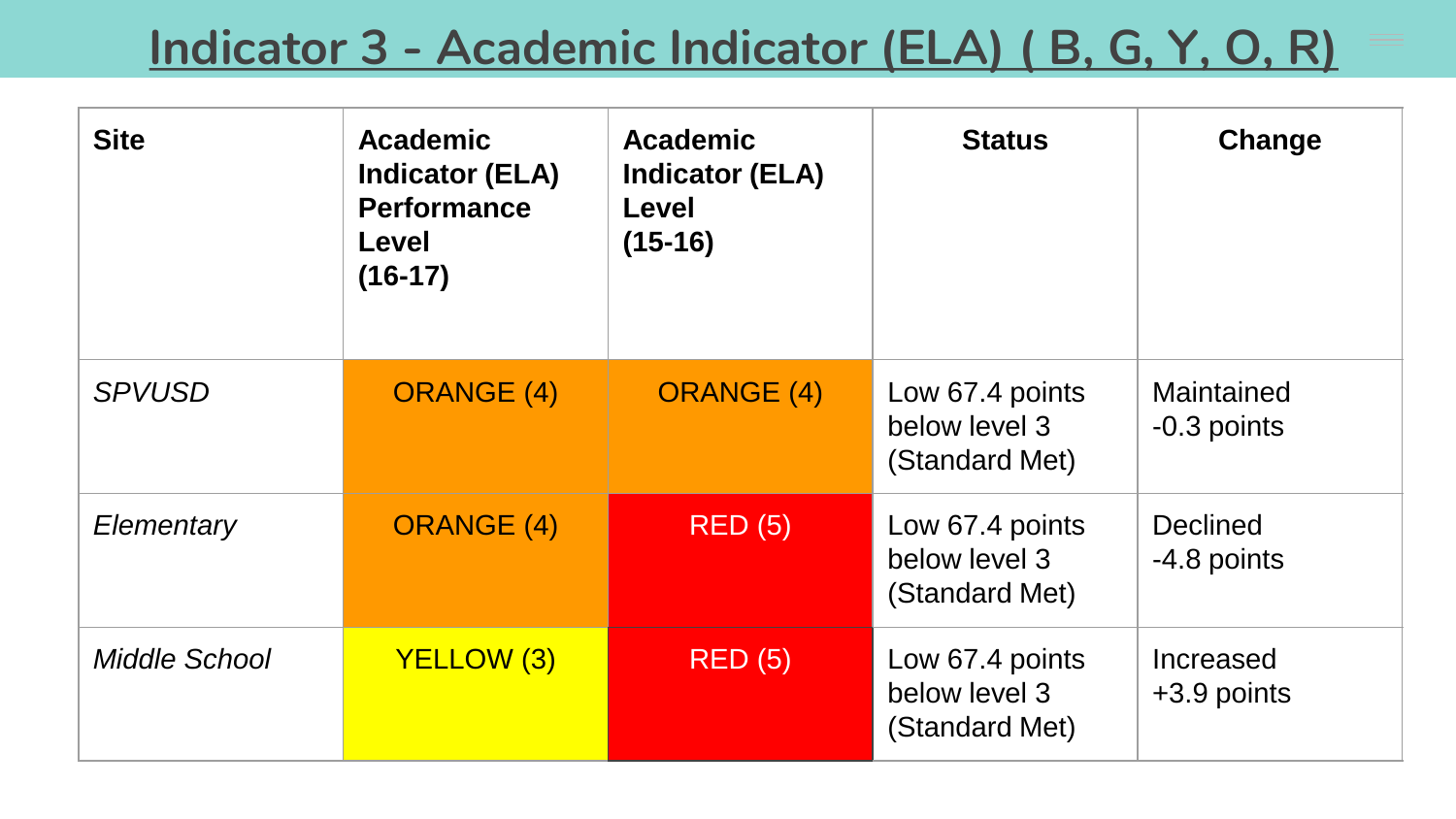### **Indicator 3 - Academic Indicator (ELA) ( B, G, Y, O, R)**

| <b>Site</b>          | Academic<br><b>Indicator (ELA)</b><br><b>Performance</b><br>Level<br>$(16-17)$ | <b>Academic</b><br><b>Indicator (ELA)</b><br><b>Level</b><br>$(15-16)$ | <b>Status</b>                                      | Change                         |
|----------------------|--------------------------------------------------------------------------------|------------------------------------------------------------------------|----------------------------------------------------|--------------------------------|
| <b>SPVUSD</b>        | <b>ORANGE (4)</b>                                                              | <b>ORANGE (4)</b>                                                      | Low 67.4 points<br>below level 3<br>(Standard Met) | Maintained<br>-0.3 points      |
| Elementary           | <b>ORANGE (4)</b>                                                              | <b>RED (5)</b>                                                         | Low 67.4 points<br>below level 3<br>(Standard Met) | <b>Declined</b><br>-4.8 points |
| <b>Middle School</b> | <b>YELLOW (3)</b>                                                              | RED(5)                                                                 | Low 67.4 points<br>below level 3<br>(Standard Met) | Increased<br>$+3.9$ points     |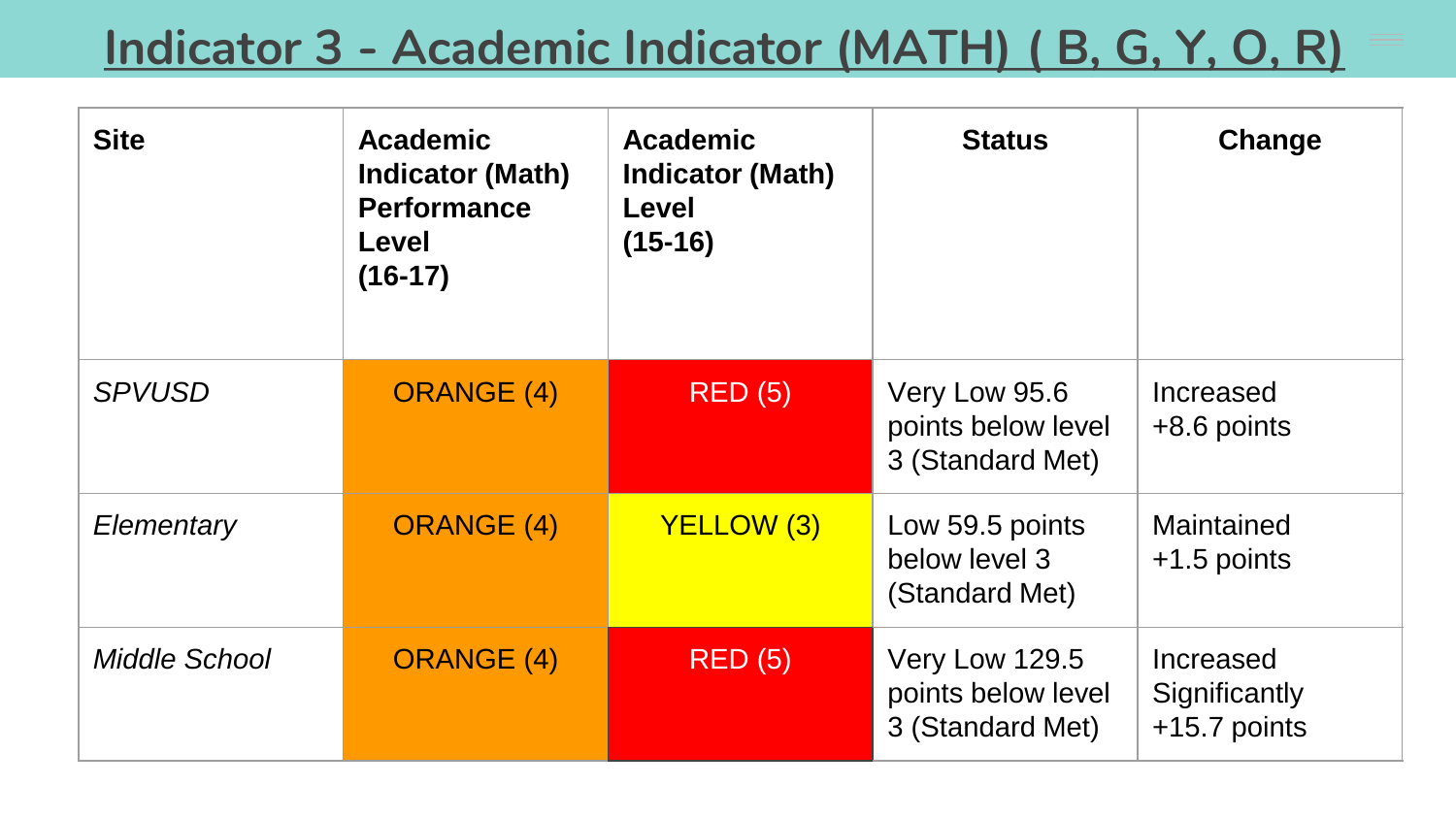### **Indicator 3 - Academic Indicator (MATH) ( B, G, Y, O, R)**

| <b>Site</b>          | <b>Academic</b><br><b>Indicator (Math)</b><br><b>Performance</b><br>Level<br>$(16-17)$ | <b>Academic</b><br><b>Indicator (Math)</b><br><b>Level</b><br>$(15-16)$ | <b>Status</b>                                            | Change                                     |
|----------------------|----------------------------------------------------------------------------------------|-------------------------------------------------------------------------|----------------------------------------------------------|--------------------------------------------|
| <b>SPVUSD</b>        | <b>ORANGE (4)</b>                                                                      | <b>RED (5)</b>                                                          | Very Low 95.6<br>points below level<br>3 (Standard Met)  | Increased<br>$+8.6$ points                 |
| Elementary           | <b>ORANGE (4)</b>                                                                      | <b>YELLOW (3)</b>                                                       | Low 59.5 points<br>below level 3<br>(Standard Met)       | Maintained<br>$+1.5$ points                |
| <b>Middle School</b> | <b>ORANGE (4)</b>                                                                      | <b>RED (5)</b>                                                          | Very Low 129.5<br>points below level<br>3 (Standard Met) | Increased<br>Significantly<br>+15.7 points |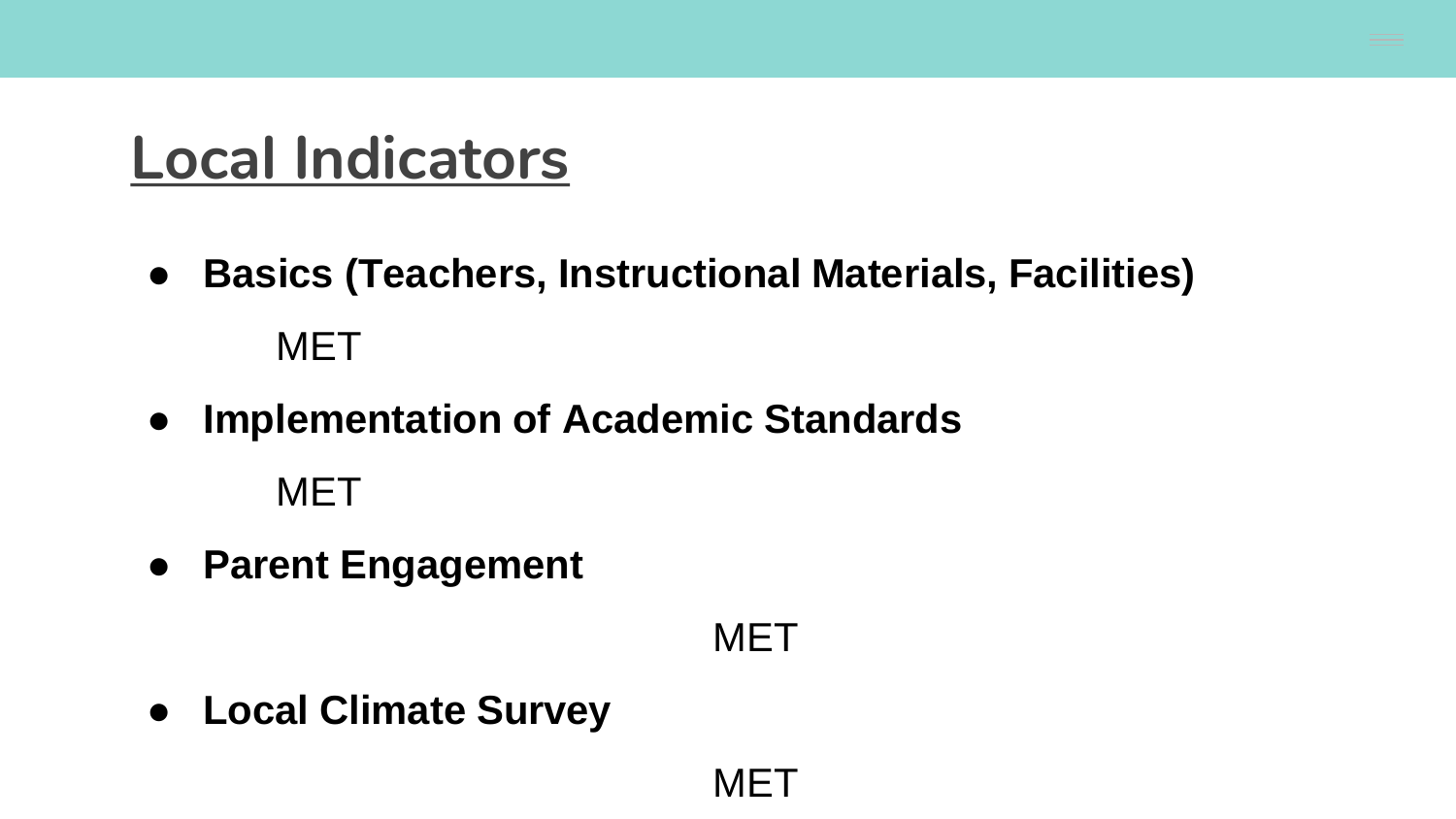# **Local Indicators**

- **Basics (Teachers, Instructional Materials, Facilities)** MET
- **Implementation of Academic Standards**

MET

● **Parent Engagement**

#### **MET**

● **Local Climate Survey**